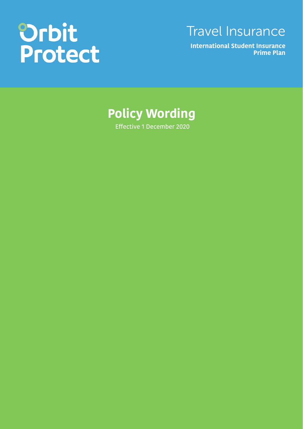# Orbit<br>Protect

## Travel Insurance

**International Student Insurance Prime Plan**

## **Policy Wording**

Effective 1 December 2020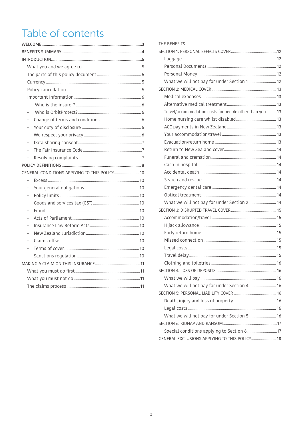## Table of contents

| GENERAL CONDITIONS APPLYING TO THIS POLICY 10 |  |  |  |  |
|-----------------------------------------------|--|--|--|--|
|                                               |  |  |  |  |
|                                               |  |  |  |  |
|                                               |  |  |  |  |
|                                               |  |  |  |  |
|                                               |  |  |  |  |
|                                               |  |  |  |  |
|                                               |  |  |  |  |
|                                               |  |  |  |  |
|                                               |  |  |  |  |
|                                               |  |  |  |  |
|                                               |  |  |  |  |
|                                               |  |  |  |  |
|                                               |  |  |  |  |
|                                               |  |  |  |  |
|                                               |  |  |  |  |
|                                               |  |  |  |  |

| THE BENEFITS                                            |  |  |  |  |
|---------------------------------------------------------|--|--|--|--|
|                                                         |  |  |  |  |
|                                                         |  |  |  |  |
|                                                         |  |  |  |  |
|                                                         |  |  |  |  |
| What we will not pay for under Section 1 12             |  |  |  |  |
|                                                         |  |  |  |  |
|                                                         |  |  |  |  |
|                                                         |  |  |  |  |
| Travel/accommodation costs for people other than you 13 |  |  |  |  |
|                                                         |  |  |  |  |
|                                                         |  |  |  |  |
|                                                         |  |  |  |  |
|                                                         |  |  |  |  |
|                                                         |  |  |  |  |
|                                                         |  |  |  |  |
|                                                         |  |  |  |  |
|                                                         |  |  |  |  |
|                                                         |  |  |  |  |
|                                                         |  |  |  |  |
|                                                         |  |  |  |  |
| What we will not pay for under Section 2 14             |  |  |  |  |
|                                                         |  |  |  |  |
|                                                         |  |  |  |  |
|                                                         |  |  |  |  |
|                                                         |  |  |  |  |
|                                                         |  |  |  |  |
|                                                         |  |  |  |  |
|                                                         |  |  |  |  |
|                                                         |  |  |  |  |
|                                                         |  |  |  |  |
|                                                         |  |  |  |  |
| What we will not pay for under Section 4 16             |  |  |  |  |
|                                                         |  |  |  |  |
|                                                         |  |  |  |  |
|                                                         |  |  |  |  |
| What we will not pay for under Section 5 16             |  |  |  |  |
|                                                         |  |  |  |  |
|                                                         |  |  |  |  |
| GENERAL EXCLUSIONS APPLYING TO THIS POLICY  18          |  |  |  |  |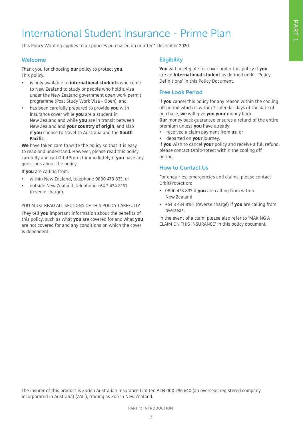## International Student Insurance - Prime Plan

This Policy Wording applies to all policies purchased on or after 1 December 2020

#### Welcome

Thank you for choosing **our** policy to protect **you**. This policy:

- is only available to **international students** who come to New Zealand to study or people who hold a visa under the New Zealand government open work permit programme (Post Study Work Visa – Open), and
- has been carefully prepared to provide **you** with insurance cover while **you** are a student in New Zealand and while **you** are in transit between New Zealand and **your country of origin**, and also if **you** choose to travel to Australia and the **South Pacific**.

**We** have taken care to write the policy so that it is easy to read and understand. However, please read this policy carefully and call OrbitProtect immediately if **you** have any questions about the policy.

If **you** are calling from:

- within New Zealand, telephone 0800 478 833, or
- outside New Zealand, telephone +64 3 434 8151 (reverse charge).

YOU MUST READ ALL SECTIONS OF THIS POLICY CAREFULLY

They tell **you** important information about the benefits of this policy, such as what **you** are covered for and what **you** are not covered for and any conditions on which the cover is dependent.

#### **Eligibility**

**You** will be eligible for cover under this policy if **you** are an **International student** as defined under 'Policy Definitions' in this Policy Document.

#### Free Look Period

If **you** cancel this policy for any reason within the cooling off period which is within 7 calendar days of the date of purchase, **we** will give **you your** money back.

**Our** money back guarantee ensures a refund of the entire premium unless **you** have already:

- received a claim payment from **us**, or
- departed on **your** journey.

If **you** wish to cancel **your** policy and receive a full refund, please contact OrbitProtect within the cooling off period.

#### How to Contact Us

For enquiries, emergencies and claims, please contact OrbitProtect on:

- 0800 478 833 if **you** are calling from within New Zealand
- +64 3 434 8151 (reverse charge) if **you** are calling from overseas.

In the event of a claim please also refer to 'MAKING A CLAIM ON THIS INSURANCE' in this policy document.

The insurer of this product is Zurich Australian Insurance Limited ACN 000 296 640 (an overseas registered company incorporated in Australia) (ZAIL), trading as Zurich New Zealand.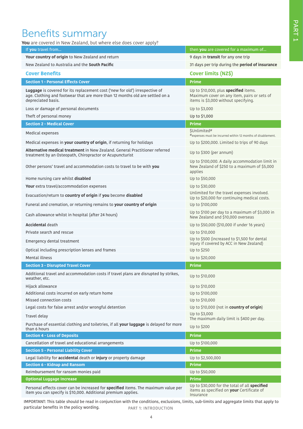## Benefits summary

**You** are covered in New Zealand, but where else does cover apply?

| If you travel from                                                                                                                                                                | then you are covered for a maximum of                                                                                        |  |  |
|-----------------------------------------------------------------------------------------------------------------------------------------------------------------------------------|------------------------------------------------------------------------------------------------------------------------------|--|--|
| Your country of origin to New Zealand and return                                                                                                                                  | 9 days in <b>transit</b> for any one trip                                                                                    |  |  |
| New Zealand to Australia and the <b>South Pacific</b>                                                                                                                             | 31 days per trip during the period of insurance                                                                              |  |  |
| <b>Cover Benefits</b>                                                                                                                                                             | Cover limits (NZ\$)                                                                                                          |  |  |
| <b>Section 1 - Personal Effects Cover</b>                                                                                                                                         | <b>Prime</b>                                                                                                                 |  |  |
| Luggage is covered for its replacement cost ('new for old') irrespective of<br>age. Clothing and footwear that are more than 12 months old are settled on a<br>depreciated basis. | Up to \$10,000, plus specified items.<br>Maximum cover on any item, pairs or sets of<br>items is \$3,000 without specifying. |  |  |
| Loss or damage of personal documents                                                                                                                                              | Up to \$3,000                                                                                                                |  |  |
| Theft of personal money                                                                                                                                                           | Up to \$1,000                                                                                                                |  |  |
| <b>Section 2 - Medical Cover</b>                                                                                                                                                  | <b>Prime</b>                                                                                                                 |  |  |
| Medical expenses                                                                                                                                                                  | \$Unlimited#<br>#expenses must be incurred within 12 months of disablement.                                                  |  |  |
| Medical expenses in your country of origin, if returning for holidays                                                                                                             | Up to \$200,000. Limited to trips of 90 days                                                                                 |  |  |
| Alternative medical treatment in New Zealand, General Practitioner referred<br>treatment by an Osteopath, Chiropractor or Acupuncturist                                           | Up to \$300 (per annum)                                                                                                      |  |  |
| Other persons' travel and accommodation costs to travel to be with you                                                                                                            | Up to \$100,000. A daily accommodation limit in<br>New Zealand of \$250 to a maximum of \$5,000<br>applies                   |  |  |
| Home nursing care whilst disabled                                                                                                                                                 | Up to \$50,000                                                                                                               |  |  |
| Your extra travel/accommodation expenses                                                                                                                                          | Up to \$30,000                                                                                                               |  |  |
| Evacuation/return to country of origin if you become disabled                                                                                                                     | Unlimited for the travel expenses involved.<br>Up to \$20,000 for continuing medical costs.                                  |  |  |
| Funeral and cremation, or returning remains to your country of origin                                                                                                             | Up to \$100,000                                                                                                              |  |  |
| Cash allowance whilst in hospital (after 24 hours)                                                                                                                                | Up to \$100 per day to a maximum of \$3,000 in<br>New Zealand and \$10,000 overseas                                          |  |  |
| <b>Accidental death</b>                                                                                                                                                           | Up to \$50,000 (\$10,000 if under 16 years)                                                                                  |  |  |
| Private search and rescue                                                                                                                                                         | Up to \$10,000                                                                                                               |  |  |
| Emergency dental treatment                                                                                                                                                        | Up to \$500 (increased to \$1,500 for dental<br>injury if covered by ACC in New Zealand)                                     |  |  |
| Optical including prescription lenses and frames                                                                                                                                  | Up to \$250                                                                                                                  |  |  |
| <b>Mental illness</b>                                                                                                                                                             | Up to \$20,000                                                                                                               |  |  |
| <b>Section 3 - Disrupted Travel Cover</b>                                                                                                                                         | <b>Prime</b>                                                                                                                 |  |  |
| Additional travel and accommodation costs if travel plans are disrupted by strikes,<br>weather, etc.                                                                              | Up to \$10,000                                                                                                               |  |  |
| Hijack allowance                                                                                                                                                                  | Up to \$10,000                                                                                                               |  |  |
| Additional costs incurred on early return home                                                                                                                                    | Up to \$100,000                                                                                                              |  |  |
| Missed connection costs                                                                                                                                                           | Up to \$10,000                                                                                                               |  |  |
| Legal costs for false arrest and/or wrongful detention                                                                                                                            | Up to \$10,000 (not in country of origin)                                                                                    |  |  |
| Travel delay                                                                                                                                                                      | Up to \$3,000<br>The maximum daily limit is \$400 per day.                                                                   |  |  |
| Purchase of essential clothing and toiletries, if all your luggage is delayed for more<br>than 6 hours                                                                            | Up to \$200                                                                                                                  |  |  |
| <b>Section 4 - Loss of Deposits</b>                                                                                                                                               | <b>Prime</b>                                                                                                                 |  |  |
| Cancellation of travel and educational arrangements                                                                                                                               | Up to \$100,000                                                                                                              |  |  |
| <b>Section 5 - Personal Liability Cover</b>                                                                                                                                       | <b>Prime</b>                                                                                                                 |  |  |
| Legal liability for accidental death or injury or property damage                                                                                                                 | Up to \$2,500,000                                                                                                            |  |  |
| <b>Section 6 - Kidnap and Ransom</b>                                                                                                                                              | <b>Prime</b>                                                                                                                 |  |  |
| Reimbursement for ransom monies paid                                                                                                                                              | Up to \$50,000                                                                                                               |  |  |
| <b>Optional Luggage Increase</b>                                                                                                                                                  | <b>Prime</b>                                                                                                                 |  |  |
| Personal effects cover can be increased for specified items. The maximum value per<br>item you can specify is \$10,000. Additional premium applies.                               | Up to \$30,000 for the total of all specified<br>items as specified on your Certificate of<br>Insurance                      |  |  |

PART 1: INTRODUCTION IMPORTANT: This table should be read in conjunction with the conditions, exclusions, limits, sub-limits and aggregate limits that apply to particular benefits in the policy wording.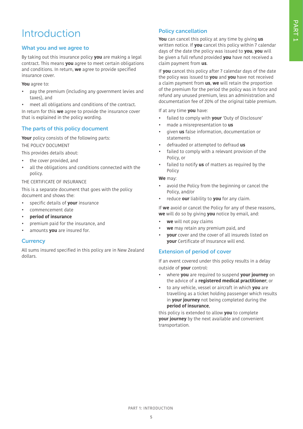## Introduction

#### What you and we agree to

By taking out this insurance policy **you** are making a legal contract. This means **you** agree to meet certain obligations and conditions. In return, **we** agree to provide specified insurance cover.

**You** agree to:

- pay the premium (including any government levies and taxes), and
- meet all obligations and conditions of the contract.

In return for this **we** agree to provide the insurance cover that is explained in the policy wording.

#### The parts of this policy document

**Your** policy consists of the following parts: THE POLICY DOCUMENT

This provides details about:

- the cover provided, and
- all the obligations and conditions connected with the policy.

#### THE CERTIFICATE OF INSURANCE

This is a separate document that goes with the policy document and shows the:

- specific details of **your** insurance
- commencement date
- **period of insurance**
- premium paid for the insurance, and
- amounts **you** are insured for.

#### **Currency**

All sums insured specified in this policy are in New Zealand dollars.

#### Policy cancellation

**You** can cancel this policy at any time by giving **us** written notice. If **you** cancel this policy within 7 calendar days of the date the policy was issued to **you**, **you** will be given a full refund provided **you** have not received a claim payment from **us**.

If **you** cancel this policy after 7 calendar days of the date the policy was issued to **you** and **you** have not received a claim payment from **us**, **we** will retain the proportion of the premium for the period the policy was in force and refund any unused premium, less an administration and documentation fee of 20% of the original table premium.

If at any time **you** have:

- failed to comply with **your** 'Duty of Disclosure'
- made a misrepresentation to **us**
- given **us** false information, documentation or statements
- defrauded or attempted to defraud **us**
- failed to comply with a relevant provision of the Policy, or
- failed to notify **us** of matters as required by the Policy

#### **We** may:

- avoid the Policy from the beginning or cancel the Policy, and/or
- reduce **our** liability to **you** for any claim.

If **we** avoid or cancel the Policy for any of these reasons, **we** will do so by giving **you** notice by email, and:

- **we** will not pay claims
- **we** may retain any premium paid, and
- **your** cover and the cover of all insureds listed on **your** Certificate of Insurance will end.

#### Extension of period of cover

If an event covered under this policy results in a delay outside of **your** control:

- where **you** are required to suspend **your journey** on the advice of a **registered medical practitioner**; or
- to any vehicle, vessel or aircraft in which **you** are travelling as a ticket holding passenger which results in **your journey** not being completed during the **period of insurance**,

this policy is extended to allow **you** to complete **your journey** by the next available and convenient transportation.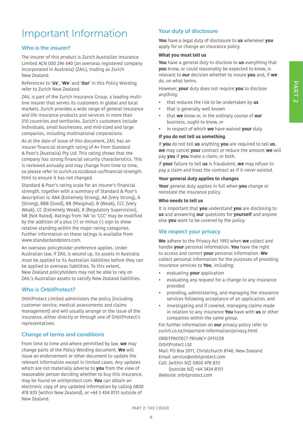## Important Information

#### Who is the insurer?

The insurer of this product is Zurich Australian Insurance Limited ACN 000 296 640 (an overseas registered company incorporated in Australia) (ZAIL), trading as Zurich New Zealand.

References to '**Us**', '**We**' and '**Our**' in this Policy Wording refer to Zurich New Zealand.

ZAIL is part of the Zurich Insurance Group, a leading multiline insurer that serves its customers in global and local markets. Zurich provides a wide range of general insurance and life insurance products and services in more than 210 countries and territories. Zurich's customers include individuals, small businesses, and mid-sized and large companies, including multinational corporations.

As at the date of issue of this document, ZAIL has an insurer financial strength rating of A+ from Standard & Poor's (Australia) Pty Ltd. This rating shows that the company has strong financial security characteristics. This is reviewed annually and may change from time to time, so please refer to zurich.co.nz/about-us/financial-strength. html to ensure it has not changed.

Standard & Poor's rating scale for an insurer's financial strength, together with a summary of Standard & Poor's description is: AAA (Extremely Strong), AA (Very Strong), A (Strong), BBB (Good), BB (Marginal), B (Weak), CCC (Very Weak), CC (Extremely Weak), R (Regulatory Supervision), NR (Not Rated). Ratings from 'AA' to 'CCC' may be modified by the addition of a plus  $(+)$  or minus  $(-)$  sign to show relative standing within the major rating categories. Further information on these ratings is available from www.standardandpoors.com.

An overseas policyholder preference applies. Under Australian law, if ZAIL is wound up, its assets in Australia must be applied to its Australian liabilities before they can be applied to overseas liabilities. To this extent, New Zealand policyholders may not be able to rely on ZAIL's Australian assets to satisfy New Zealand liabilities.

#### Who is OrbitProtect?

OrbitProtect Limited administers the policy (including customer service, medical assessments and claims management) and will usually arrange or the issue of the insurance, either directly or through one of OrbitProtect's representatives.

#### Change of terms and conditions

From time to time and where permitted by law, **we** may change parts of the Policy Wording document. **We** will issue an endorsement or other document to update the relevant information except in limited cases. Any updates which are not materially adverse to **you** from the view of reasonable person deciding whether to buy this insurance, may be found on orbitprotect.com. **You** can obtain an electronic copy of any updated information by calling 0800 478 833 (within New Zealand), or +64 3 434 8151 outside of New Zealand.

#### Your duty of disclosure

**You** have a legal duty of disclosure to **us** whenever **you** apply for or change an insurance policy.

#### **What you must tell us**

**You** have a general duty to disclose to **us** everything that **you** know, or could reasonably be expected to know, is relevant to **our** decision whether to insure **you** and, if **we** do, on what terms.

However, **your** duty does not require **you** to disclose anything:

- that reduces the risk to be undertaken by **us**
- that is generally well known
- that **we** know or, in the ordinary course of **our** business, ought to know, or
- in respect of which **we** have waived **your** duty.

#### **If you do not tell us something**

If **you** do not tell **us** anything **you** are required to tell **us**, **we** may cancel **your** contract or reduce the amount **we** will pay **you** if **you** make a claim, or both.

If **your** failure to tell **us** is fraudulent, **we** may refuse to pay a claim and treat the contract as if it never existed.

#### **Your general duty applies to changes**

**Your** general duty applies in full when **you** change or reinstate the insurance policy.

#### **Who needs to tell us**

It is important that **you** understand **you** are disclosing to **us** and answering **our** questions for **yourself** and anyone else **you** want to be covered by the policy.

#### We respect your privacy

**We** adhere to the Privacy Act 1993 when **we** collect and handle **your** personal information. **You** have the right to access and correct **your** personal information. **We** collect personal information for the purposes of providing insurance services to **You**, including;

- evaluating **your** application
- evaluating any request for a change to any insurance provided
- providing, administering, and managing the insurance services following acceptance of an application, and
- investigating and if covered, managing claims made in relation to any insurance **You** have with **us** or other companies within the same group.

For further information on **our** privacy policy refer to zurich.co.nz/important-information/privacy.html ORBITPROTECT PRIVACY OFFICER

OrbitProtect Ltd Mail: PO Box 2011, Christchurch 8140, New Zealand Email: service@orbitprotect.com Call: (within NZ) 0800 478 833 (outside NZ) +64 3434 8151 Website: orbitprotect.com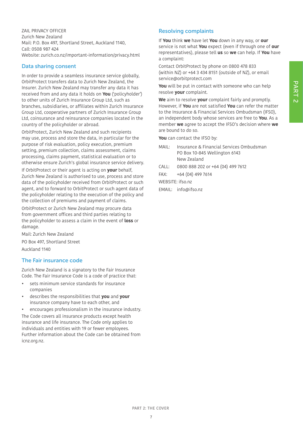ZAIL PRIVACY OFFICER Zurich New Zealand Mail: P.O. Box 497, Shortland Street, Auckland 1140, Call: 0508 987 424 Website: zurich.co.nz/important-information/privacy.html

#### Data sharing consent

In order to provide a seamless insurance service globally, OrbitProtect transfers data to Zurich New Zealand, the Insurer. Zurich New Zealand may transfer any data it has received from and any data it holds on **You** ('policyholder') to other units of Zurich Insurance Group Ltd, such as branches, subsidiaries, or affiliates within Zurich Insurance Group Ltd, cooperative partners of Zurich Insurance Group Ltd, coinsurance and reinsurance companies located in the country of the policyholder or abroad.

OrbitProtect, Zurich New Zealand and such recipients may use, process and store the data, in particular for the purpose of risk evaluation, policy execution, premium setting, premium collection, claims assessment, claims processing, claims payment, statistical evaluation or to otherwise ensure Zurich's global insurance service delivery.

If OrbitProtect or their agent is acting on **your** behalf, Zurich New Zealand is authorised to use, process and store data of the policyholder received from OrbitProtect or such agent, and to forward to OrbitProtect or such agent data of the policyholder relating to the execution of the policy and the collection of premiums and payment of claims.

OrbitProtect or Zurich New Zealand may procure data from government offices and third parties relating to the policyholder to assess a claim in the event of **loss** or damage.

Mail: Zurich New Zealand PO Box 497, Shortland Street

Auckland 1140

#### The Fair insurance code

Zurich New Zealand is a signatory to the Fair Insurance Code. The Fair Insurance Code is a code of practice that:

- sets minimum service standards for insurance companies
- describes the responsibilities that **you** and **your** insurance company have to each other, and
- encourages professionalism in the insurance industry. The Code covers all insurance products except health insurance and life insurance. The Code only applies to individuals and entities with 19 or fewer employees. Further information about the Code can be obtained from icnz.org.nz.

#### Resolving complaints

If **You** think **we** have let **You** down in any way, or **our** service is not what **You** expect (even if through one of **our** representatives), please tell **us** so **we** can help. If **You** have a complaint:

Contact OrbitProtect by phone on 0800 478 833 (within NZ) or +64 3 434 8151 (outside of NZ), or email service@orbitprotect.com

**You** will be put in contact with someone who can help resolve **your** complaint.

**We** aim to resolve **your** complaint fairly and promptly. However, if **You** are not satisfied **You** can refer the matter to the Insurance & Financial Services Ombudsman (IFSO), an independent body whose services are free to **You**. As a member **we** agree to accept the IFSO's decision where **we** are bound to do so.

**You** can contact the IFSO by:

- MAIL: Insurance & Financial Services Ombudsman PO Box 10-845 Wellington 6143 New Zealand
- CALL: 0800 888 202 or +64 (04) 499 7612
- FAX: +64 (04) 499 7614

WEBSITE: ifso.nz

EMAIL: info@ifso.nz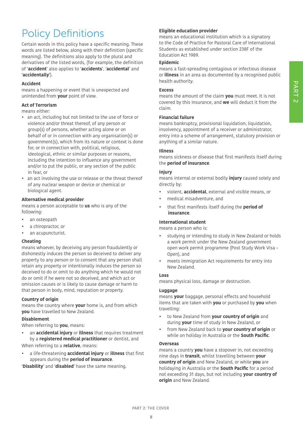## Policy Definitions

Certain words in this policy have a specific meaning. These words are listed below, along with their definition (specific meaning). The definitions also apply to the plural and derivatives of the listed words, (for example, the definition of '**accident**' also applies to '**accidents**', '**accidental**' and '**accidentally**').

#### **Accident**

means a happening or event that is unexpected and unintended from **your** point of view.

#### **Act of Terrorism**

means either:

- an act, including but not limited to the use of force or violence and/or threat thereof, of any person or group(s) of persons, whether acting alone or on behalf of or in connection with any organisation(s) or government(s), which from its nature or context is done for, or in connection with, political, religious, ideological, ethnic or similar purposes or reasons, including the intention to influence any government and/or to put the public, or any section of the public in fear, or
- an act involving the use or release or the threat thereof of any nuclear weapon or device or chemical or biological agent.

#### **Alternative medical provider**

means a person acceptable to **us** who is any of the following:

- an osteopath
- a chiropractor, or
- an acupuncturist.

#### **Cheating**

means whoever, by deceiving any person fraudulently or dishonestly induces the person so deceived to deliver any property to any person or to consent that any person shall retain any property or intentionally induces the person so deceived to do or omit to do anything which he would not do or omit if he were not so deceived, and which act or omission causes or is likely to cause damage or harm to that person in body, mind, reputation or property.

#### **Country of origin**

means the country where **your** home is, and from which **you** have travelled to New Zealand.

#### **Disablement**

When referring to **you**, means:

• an **accidental injury** or **illness** that requires treatment by a **registered medical practitioner** or dentist, and

When referring to a **relative**, means:

• a life-threatening **accidental injury** or **illness** that first appears during the **period of insurance**.

'**Disability**' and '**disabled**' have the same meaning.

#### **Eligible education provider**

means an educational institution which is a signatory to the Code of Practice for Pastoral Care of International Students as established under section 238F of the Education Act 1989.

#### **Epidemic**

means a fast-spreading contagious or infectious disease or **illness** in an area as documented by a recognised public health authority.

#### **Excess**

means the amount of the claim **you** must meet. It is not covered by this insurance, and **we** will deduct it from the claim.

#### **Financial failure**

means bankruptcy, provisional liquidation, liquidation, insolvency, appointment of a receiver or administrator, entry into a scheme of arrangement, statutory provision or anything of a similar nature.

#### **Illness**

means sickness or disease that first manifests itself during the **period of insurance**.

#### **Injury**

means internal or external bodily **injury** caused solely and directly by:

- violent, **accidental**, external and visible means, or
- medical misadventure, and
- that first manifests itself during the **period of insurance**.

#### **International student**

means a person who is:

- studying or intending to study in New Zealand or holds a work permit under the New Zealand government open work permit programme (Post Study Work Visa – Open), and
- meets Immigration Act requirements for entry into New Zealand.

#### **Loss**

means physical loss, damage or destruction.

#### **Luggage**

means **your** baggage, personal effects and household items that are taken with **you** or purchased by **you** when travelling:

- to New Zealand from **your country of origin** and during **your** time of study in New Zealand, or
- from New Zealand back to **your country of origin** or while on holiday in Australia or the **South Pacific**.

#### **Overseas**

means a country **you** have a stopover in, not exceeding nine days in **transit**, whilst travelling between **your country of origin** and New Zealand, or while **you** are holidaying in Australia or the **South Pacific** for a period not exceeding 31 days, but not including **your country of origin** and New Zealand.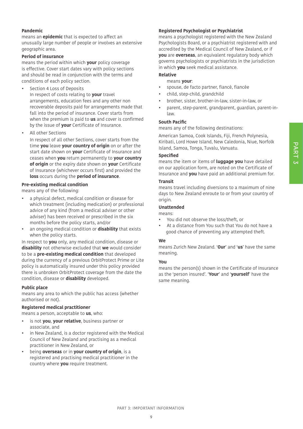#### **Pandemic**

means an **epidemic** that is expected to affect an unusually large number of people or involves an extensive geographic area.

#### **Period of insurance**

means the period within which **your** policy coverage is effective. Cover start dates vary with policy sections and should be read in conjunction with the terms and conditions of each policy section.

- **•** Section 4 Loss of Deposits In respect of costs relating to **your** travel arrangements, education fees and any other non recoverable deposits paid for arrangements made that fall into the period of insurance. Cover starts from when the premium is paid to **us** and cover is confirmed by the issue of **your** Certificate of Insurance.
- **•** All other Sections

In respect of all other Sections, cover starts from the time **you** leave **your country of origin** on or after the start date shown on **your** Certificate of Insurance and ceases when **you** return permanently to **your country of origin** or the expiry date shown on **your** Certificate of Insurance (whichever occurs first) and provided the **loss** occurs during the **period of insurance**.

#### **Pre-existing medical condition**

means any of the following:

- a physical defect, medical condition or disease for which treatment (including medication) or professional advice of any kind (from a medical adviser or other adviser) has been received or prescribed in the six months before the policy starts, and/or
- an ongoing medical condition or **disability** that exists when the policy starts.

In respect to **you** only, any medical condition, disease or **disability** not otherwise excluded that **we** would consider to be a **pre-existing medical condition** that developed during the currency of a previous OrbitProtect Prime or Lite policy is automatically insured under this policy provided there is unbroken OrbitProtect coverage from the date the condition, disease or **disability** developed.

#### **Public place**

means any area to which the public has access (whether authorised or not).

#### **Registered medical practitioner**

means a person, acceptable to **us**, who:

- is not **you**, **your relative**, business partner or associate, and
- in New Zealand, is a doctor registered with the Medical Council of New Zealand and practising as a medical practitioner in New Zealand, or
- being **overseas** or in **your country of origin**, is a registered and practising medical practitioner in the country where **you** require treatment.

#### **Registered Psychologist or Psychiatrist**

means a psychologist registered with the New Zealand Psychologists Board, or a psychiatrist registered with and accredited by the Medical Council of New Zealand, or if **you** are **overseas**, an equivalent regulatory body which governs psychologists or psychiatrists in the jurisdiction in which **you** seek medical assistance.

#### **Relative**

#### means **your**:

- spouse, de facto partner, fiancé, fiancée
- child, step-child, grandchild
- brother, sister, brother-in-law, sister-in-law, or
- parent, step-parent, grandparent, guardian, parent-inlaw.

#### **South Pacific**

means any of the following destinations:

American Samoa, Cook Islands, Fiji, French Polynesia, Kiribati, Lord Howe Island, New Caledonia, Niue, Norfolk Island, Samoa, Tonga, Tuvalu, Vanuatu.

#### **Specified**

means the item or items of **luggage you** have detailed on our application form, are noted on the Certificate of Insurance and **you** have paid an additional premium for.

#### **Transit**

means travel including diversions to a maximum of nine days to New Zealand enroute to or from your country of origin.

#### **Unattended**

means:

- You did not observe the loss/theft, or
- At a distance from You such that You do not have a good chance of preventing any attempted theft.

#### **We**

means Zurich New Zealand. '**Our**' and '**us**' have the same meaning.

#### **You**

means the person(s) shown in the Certificate of Insurance as the 'person insured'. '**Your**' and '**yourself**' have the same meaning.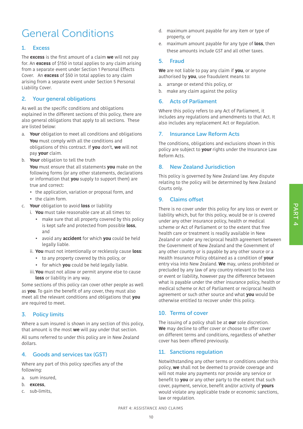## General Conditions

#### 1. Excess

The **excess** is the first amount of a claim **we** will not pay for. An **excess** of \$150 in total applies to any claim arising from a separate event under Section 1 Personal Effects Cover. An **excess** of \$50 in total applies to any claim arising from a separate event under Section 5 Personal Liability Cover.

#### 2. Your general obligations

As well as the specific conditions and obligations explained in the different sections of this policy, there are also general obligations that apply to all sections. These are listed below:

- a. **Your** obligation to meet all conditions and obligations **You** must comply with all the conditions and obligations of this contract. If **you** don't, **we** will not pay **your** claim.
- b. **Your** obligation to tell the truth

**You** must ensure that all statements **you** make on the following forms (or any other statements, declarations or information that **you** supply to support them) are true and correct:

- the application, variation or proposal form, and
- the claim form.
- c. **Your** obligation to avoid **loss** or liability
	- i. **You** must take reasonable care at all times to:
		- make sure that all property covered by this policy is kept safe and protected from possible **loss**, and
		- avoid any **accident** for which **you** could be held legally liable.
	- ii. **You** must not intentionally or recklessly cause **loss**:
		- to any property covered by this policy, or
		- for which **you** could be held legally liable.
	- iii.**You** must not allow or permit anyone else to cause **loss** or liability in any way.

Some sections of this policy can cover other people as well as **you**. To gain the benefit of any cover, they must also meet all the relevant conditions and obligations that **you** are required to meet.

#### 3. Policy limits

Where a sum insured is shown in any section of this policy, that amount is the most **we** will pay under that section. All sums referred to under this policy are in New Zealand dollars.

#### 4. Goods and services tax (GST)

Where any part of this policy specifies any of the following:

- a. sum insured,
- b. **excess**,
- c. sub-limits,
- d. maximum amount payable for any item or type of property, or
- e. maximum amount payable for any type of **loss**, then these amounts include GST and all other taxes.

#### 5. Fraud

**We** are not liable to pay any claim if **you**, or anyone authorised by **you**, use fraudulent means to:

- a. arrange or extend this policy, or
- b. make any claim against the policy

#### 6. Acts of Parliament

Where this policy refers to any Act of Parliament, it includes any regulations and amendments to that Act. It also includes any replacement Act or Regulation.

#### 7. Insurance Law Reform Acts

The conditions, obligations and exclusions shown in this policy are subject to **your** rights under the Insurance Law Reform Acts.

#### 8. New Zealand Jurisdiction

This policy is governed by New Zealand law. Any dispute relating to the policy will be determined by New Zealand Courts only.

#### 9. Claims offset

There is no cover under this policy for any loss or event or liability which, but for this policy, would be or is covered under any other insurance policy, health or medical scheme or Act of Parliament or to the extent that free health care or treatment is readily available in New Zealand or under any reciprocal health agreement between the Government of New Zealand and the Government of any other country or is payable by any other source or a Health Insurance Policy obtained as a condition of **your** entry visa into New Zealand. **We** may, unless prohibited or precluded by any law of any country relevant to the loss or event or liability, however pay the difference between what is payable under the other insurance policy, health or medical scheme or Act of Parliament or reciprocal health agreement or such other source and what **you** would be otherwise entitled to recover under this policy.

#### 10. Terms of cover

The issuing of a policy shall be at **our** sole discretion. **We** may decline to offer cover or choose to offer cover on different terms and conditions, regardless of whether cover has been offered previously.

#### 11. Sanctions regulation

Notwithstanding any other terms or conditions under this policy, **we** shall not be deemed to provide coverage and will not make any payments nor provide any service or benefit to **you** or any other party to the extent that such cover, payment, service, benefit and/or activity of **yours** would violate any applicable trade or economic sanctions, law or regulation.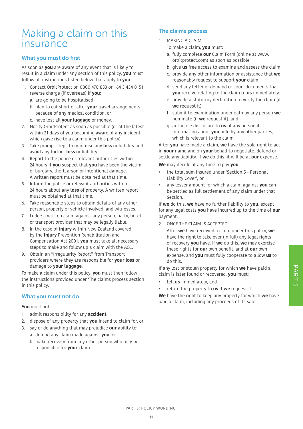## Making a claim on this insurance

#### What you must do first

As soon as **you** are aware of any event that is likely to result in a claim under any section of this policy, **you** must follow all instructions listed below that apply to **you**.

- 1. Contact OrbitProtect on 0800 478 833 or +64 3 434 8151 reverse charge (if overseas) if **you**:
	- a. are going to be hospitalised
	- b. plan to cut short or alter **your** travel arrangements because of any medical condition, or
	- c. have lost all **your luggage** or money.
- 2. Notify OrbitProtect as soon as possible (or at the latest within 21 days of you becoming aware of any incident which gave rise to a claim under this policy).
- 3. Take prompt steps to minimise any **loss** or liability and avoid any further **loss** or liability.
- 4. Report to the police or relevant authorities within 24 hours if **you** suspect that **you** have been the victim of burglary, theft, arson or intentional damage. A written report must be obtained at that time.
- 5. Inform the police or relevant authorities within 24 hours about any **loss** of property. A written report must be obtained at that time.
- 6. Take reasonable steps to obtain details of any other person, property or vehicle involved, and witnesses.
- 7. Lodge a written claim against any person, party, hotel or transport provider that may be legally liable.
- 8. In the case of **injury** within New Zealand covered by the **Injury** Prevention Rehabilitation and Compensation Act 2001, **you** must take all necessary steps to make and follow up a claim with the ACC.
- 9. Obtain an "Irregularity Report" from Transport providers where they are responsible for **your loss** or damage to **your luggage**.

To make a claim under this policy, **you** must then follow the instructions provided under 'The claims process section in this policy.

#### What you must not do

#### **You** must not:

- 1. admit responsibility for any **accident**
- 2. dispose of any property that **you** intend to claim for, or
- 3. say or do anything that may prejudice **our** ability to: a defend any claim made against **you**, or
	- b make recovery from any other person who may be responsible for **your** claim.

#### The claims process

- 1. MAKING A CLAIM
	- To make a claim, **you** must:
	- a. fully complete **our** Claim Form (online at www. orbitprotect.com) as soon as possible
	- b. give **us** free access to examine and assess the claim
	- c. provide any other information or assistance that **we** reasonably request to support **your** claim
	- d. send any letter of demand or court documents that **you** receive relating to the claim to **us** immediately
	- e. provide a statutory declaration to verify the claim (if **we** request it)
	- f. submit to examination under oath by any person **we** nominate (if **we** request it), and
	- g. authorise disclosure to **us** of any personal information about **you** held by any other parties, which is relevant to the claim.

After **you** have made a claim, **we** have the sole right to act in **your** name and on **your** behalf to negotiate, defend or settle any liability. If **we** do this, it will be at **our** expense.

**We** may decide at any time to pay **you**:

- the total sum insured under 'Section 5 Personal Liability Cover', or
- any lesser amount for which a claim against **you** can be settled as full settlement of any claim under that Section.

If **we** do this, **we** have no further liability to **you**, except for any legal costs **you** have incurred up to the time of **our** payment.

2. ONCE THE CLAIM IS ACCEPTED

After **we** have received a claim under this policy, **we** have the right to take over (in full) any legal rights of recovery **you** have. If **we** do this, **we** may exercise these rights for **our** own benefit, and at **our** own expense, and **you** must fully cooperate to allow **us** to do this.

If any lost or stolen property for which **we** have paid a claim is later found or recovered, **you** must:

- tell **us** immediately, and
- return the property to **us** if **we** request it.

**We** have the right to keep any property for which **we** have paid a claim, including any proceeds of its sale.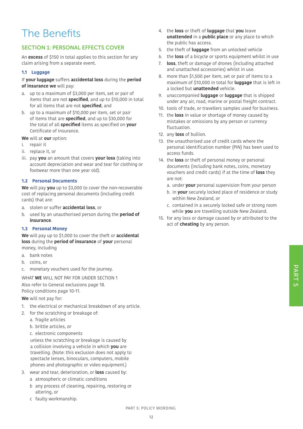## The Benefits

#### SECTION 1: PERSONAL EFFECTS COVER

An **excess** of \$150 in total applies to this section for any claim arising from a separate event.

#### **1.1 Luggage**

If **your luggage** suffers **accidental loss** during the **period of insurance we** will pay:

- a. up to a maximum of \$3,000 per item, set or pair of items that are not **specified**, and up to \$10,000 in total for all items that are not **specified**, and
- b. up to a maximum of \$10,000 per item, set or pair of items that are **specified**, and up to \$30,000 for the total of all **specified** items as specified on **your** Certificate of Insurance.

**We** will at **our** option:

- i. repair it
- ii. replace it, or
- iii. pay **you** an amount that covers **your loss** (taking into account depreciation and wear and tear for clothing or footwear more than one year old).

#### **1.2 Personal Documents**

**We** will pay **you** up to \$3,000 to cover the non-recoverable cost of replacing personal documents (including credit cards) that are:

- a. stolen or suffer **accidental loss**, or
- b. used by an unauthorised person during the **period of insurance**.

#### **1.3 Personal Money**

**We** will pay up to \$1,000 to cover the theft or **accidental loss** during the **period of insurance** of **your** personal money, including

- a. bank notes
- b. coins, or
- c. monetary vouchers used for the journey.

WHAT **WE** WILL NOT PAY FOR UNDER SECTION 1 Also refer to General exclusions page 18. Policy conditions page 10-11.

**We** will not pay for:

- 1. the electrical or mechanical breakdown of any article.
- 2. for the scratching or breakage of:
	- a. fragile articles
	- b. brittle articles, or
	- c. electronic components

unless the scratching or breakage is caused by a collision involving a vehicle in which **you** are travelling. (Note: this exclusion does not apply to spectacle lenses, binoculars, computers, mobile phones and photographic or video equipment.)

- 3. wear and tear, deterioration, or **loss** caused by:
	- a atmospheric or climatic conditions
	- b any process of cleaning, repairing, restoring or altering, or
	- c faulty workmanship.
- 4. the **loss** or theft of **luggage** that **you** leave **unattended** in a **public place** or any place to which the public has access.
- 5. the theft of **luggage** from an unlocked vehicle
- 6. the **loss** of a bicycle or sports equipment whilst in use
- 7. **loss**, theft or damage of drones (including attached and unattached accessories) whilst in use.
- 8. more than \$1,500 per item, set or pair of items to a maximum of \$10,000 in total for **luggage** that is left in a locked but **unattended** vehicle.
- 9. unaccompanied **luggage** or **luggage** that is shipped under any air, road, marine or postal freight contract.
- 10. tools of trade, or travellers samples used for business.
- 11. the **loss** in value or shortage of money caused by mistakes or omissions by any person or currency fluctuation.
- 12. any **loss** of bullion.
- 13. the unauthorised use of credit cards where the personal identification number (PIN) has been used to access funds.
- 14. the **loss** or theft of personal money or personal documents (including bank notes, coins, monetary vouchers and credit cards) if at the time of **loss** they are not:
	- a. under **your** personal supervision from your person
	- b. in **your** securely locked place of residence or study within New Zealand, or
	- c. contained in a securely locked safe or strong room while **you** are travelling outside New Zealand.
- 15. for any loss or damage caused by or attributed to the act of **cheating** by any person.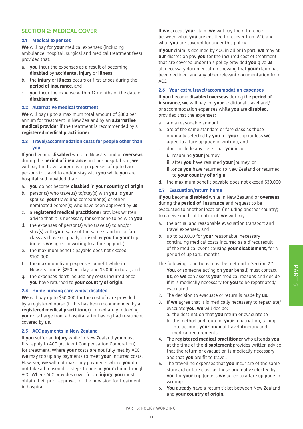#### SECTION 2: MEDICAL COVER

#### **2.1 Medical expenses**

**We** will pay for **your** medical expenses (including ambulance, hospital, surgical and medical treatment fees) provided that:

- a. **you** incur the expenses as a result of becoming **disabled** by **accidental injury** or **illness**
- b. the **injury** or **illness** occurs or first arises during the **period of insurance**, and
- c. **you** incur the expense within 12 months of the date of **disablement**.

#### **2.2 Alternative medical treatment**

**We** will pay up to a maximum total amount of \$300 per annum for treatment in New Zealand by an **alternative medical provider** if the treatment is recommended by a **registered medical practitioner**.

#### **2.3 Travel/accommodation costs for people other than you**

If **you** become **disabled** while in New Zealand or **overseas** during the **period of insurance** and are hospitalised, **we** will pay the travel and/or living expenses of up to two persons to travel to and/or stay with **you** while **you** are hospitalised provided that:

- a. **you** do not become **disabled** in **your country of origin**
- b. person(s) who travel(s) to/stay(s) with **you** is **your** spouse, **your** travelling companion(s) or other nominated person(s) who have been approved by **us**
- c. a **registered medical practitioner** provides written advice that it is necessary for someone to be with **you**
- d. the expenses of person(s) who travel(s) to and/or stay(s) with **you** is/are of the same standard or fare class as those originally utilised by **you** for **your** trip (unless **we** agree in writing to a fare upgrade)
- e. the maximum benefit payable does not exceed \$100,000
- f. the maximum living expenses benefit while in New Zealand is \$250 per day, and \$5,000 in total, and
- g. the expenses don't include any costs incurred once **you** have returned to **your country of origin**.

#### **2.4 Home nursing care whilst disabled**

**We** will pay up to \$50,000 for the cost of care provided by a registered nurse (if this has been recommended by a **registered medical practitioner**) immediately following **your** discharge from a hospital after having had treatment covered by **us**.

#### **2.5 ACC payments in New Zealand**

If **you** suffer an **injury** while in New Zealand **you** must first apply to ACC (Accident Compensation Corporation) for treatment. Where **your** costs are not fully met by ACC **we** may top up any payments to meet **your** incurred costs. However, **we** will not make any payments where **you** do not take all reasonable steps to pursue **your** claim through ACC. Where ACC provides cover for an **injury**, **you** must obtain their prior approval for the provision for treatment in hospital.

If **we** accept **your** claim **we** will pay the difference between what **you** are entitled to recover from ACC and what **you** are covered for under this policy.

If **your** claim is declined by ACC in all or in part, **we** may at **our** discretion pay **you** for the incurred cost of treatment that are covered under this policy provided **you** give **us** all necessary documentation showing that **your** claim has been declined, and any other relevant documentation from ACC.

#### **2.6 Your extra travel/accommodation expenses**

If **you** become **disabled overseas** during the **period of insurance**, **we** will pay for **your** additional travel and/ or accommodation expenses while **you** are **disabled**, provided that the expenses:

- a. are a reasonable amount
- b. are of the same standard or fare class as those originally selected by **you** for **your** trip (unless **we** agree to a fare upgrade in writing), and
- c. don't include any costs that **you** incur:
	- i. resuming **your** journey
		- ii. after **you** have resumed **your** journey, or
		- iii.once **you** have returned to New Zealand or returned to **your country of origin**
- d. the maximum benefit payable does not exceed \$30,000

#### **2.7 Evacuation/return home**

If **you** become **disabled** while in New Zealand or **overseas**, during the **period of insurance** and request to be evacuated to another location (including another country) to receive medical treatment, **we** will pay:

- a. the actual and reasonable evacuation transport and travel expenses, and
- b. up to \$20,000 for **your** reasonable, necessary continuing medical costs incurred as a direct result of the medical event causing **your disablement**, for a period of up to 12 months.

The following conditions must be met under Section 2.7:

- 1. **You**, or someone acting on **your** behalf, must contact **us**, so **we** can assess **your** medical reasons and decide if it is medically necessary for **you** to be repatriated/ evacuated.
- 2. The decision to evacuate or return is made by **us**.
- 3. If **we** agree that it is medically necessary to repatriate/ evacuate **you**, **we** will decide:
	- a. the destination that **you** return or evacuate to
	- b. the method and route of **your** repatriation, taking into account **your** original travel itinerary and medical requirements.
- 4. The **registered medical practitioner** who attends **you** at the time of the **disablement** provides written advice that the return or evacuation is medically necessary and that **you** are fit to travel.
- 5. The travelling expenses that **you** incur are of the same standard or fare class as those originally selected by **you** for **your** trip (unless **we** agree to a fare upgrade in writing).
- 6. **You** already have a return ticket between New Zealand and **your country of origin**.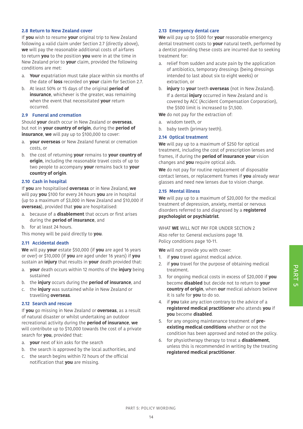#### **2.8 Return to New Zealand cover**

If **you** wish to resume **your** original trip to New Zealand following a valid claim under Section 2.7 (directly above), **we** will pay the reasonable additional costs of airfares to return **you** to the position **you** were in at the time in New Zealand prior to **your** claim, provided the following conditions are met:

- a. **Your** expatriation must take place within six months of the date of **loss** recorded on **your** claim for Section 2.7.
- b. At least 50% or 15 days of the original **period of insurance**, whichever is the greater, was remaining when the event that necessitated **your** return occurred.

#### **2.9 Funeral and cremation**

Should **your** death occur in New Zealand or **overseas**, but not in **your country of origin**, during the **period of insurance, we** will pay up to \$100,000 to cover:

- a. **your overseas** or New Zealand funeral or cremation costs, or
- b. the cost of returning **your** remains to **your country of origin**, including the reasonable travel costs of up to two people to accompany **your** remains back to **your country of origin**.

#### **2.10 Cash in hospital**

If **you** are hospitalised **overseas** or in New Zealand, **we** will pay **you** \$100 for every 24 hours **you** are in hospital (up to a maximum of \$3,000 in New Zealand and \$10,000 if **overseas**), provided that **you** are hospitalised:

- a. because of a **disablement** that occurs or first arises during the **period of insurance**, and
- b. for at least 24 hours.

This money will be paid directly to **you**.

#### **2.11 Accidental death**

**We** will pay **your** estate \$50,000 (if **you** are aged 16 years or over) or \$10,000 (if **you** are aged under 16 years) if **you** sustain an **injury** that results in **your** death provided that:

- a. **your** death occurs within 12 months of the **injury** being sustained
- b. the **injury** occurs during the **period of insurance**, and
- c. the **injury** was sustained while in New Zealand or travelling **overseas**.

#### **2.12 Search and rescue**

If **you** go missing in New Zealand or **overseas**, as a result of natural disaster or whilst undertaking an outdoor recreational activity during the **period of insurance**, **we** will contribute up to \$10,000 towards the cost of a private search for **you**, provided that:

- a. **your** next of kin asks for the search
- b. the search is approved by the local authorities, and
- c. the search begins within 72 hours of the official notification that **you** are missing.

#### **2.13 Emergency dental care**

**We** will pay up to \$500 for **your** reasonable emergency dental treatment costs to **your** natural teeth, performed by a dentist providing these costs are incurred due to seeking treatment for:

- a. relief from sudden and acute pain by the application of antibiotics, temporary dressings (being dressings intended to last about six to eight weeks) or extraction, or
- b. **injury** to **your** teeth **overseas** (not in New Zealand). If a dental **injury** occurred in New Zealand and is covered by ACC (Accident Compensation Corporation), the \$500 limit is increased to \$1,500.

**We** do not pay for the extraction of:

- a. wisdom teeth, or
- b. baby teeth (primary teeth).

#### **2.14 Optical treatment**

**We** will pay up to a maximum of \$250 for optical treatment, including the cost of prescription lenses and frames, if during the **period of insurance your** vision changes and **you** require optical aids.

**We** do not pay for routine replacement of disposable contact lenses, or replacement frames if **you** already wear glasses and need new lenses due to vision change.

#### **2.15 Mental illness**

**We** will pay up to a maximum of \$20,000 for the medical treatment of depression, anxiety, mental or nervous disorders referred to and diagnosed by a **registered psychologist or psychiatrist**.

WHAT **WE** WILL NOT PAY FOR UNDER SECTION 2 Also refer to: General exclusions page 18. Policy conditions page 10-11.

**We** will not provide you with cover:

- 1. if **you** travel against medical advice.
- 2. if **you** travel for the purpose of obtaining medical treatment.
- 3. for ongoing medical costs in excess of \$20,000 if **you** become **disabled** but decide not to return to **your country of origin**, when **our** medical advisors believe it is safe for **you** to do so.
- 4. if **you** take any action contrary to the advice of a **registered medical practitioner** who attends **you** if **you** become **disabled**.
- 5. for any ongoing maintenance treatment of **preexisting medical conditions** whether or not the condition has been approved and noted on the policy.
- 6. for physiotherapy therapy to treat a **disablement**, unless this is recommended in writing by the treating **registered medical practitioner**.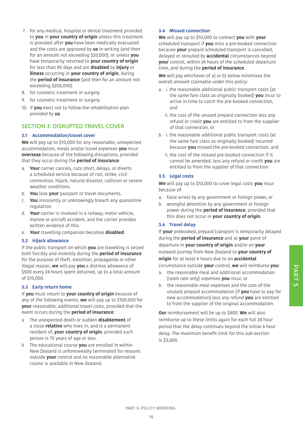- 7. for any medical, hospital or dental treatment provided to **you** in **your country of origin** unless this treatment is provided after **you** have been medically evacuated and the costs are approved by **us** in writing (and then for an amount not exceeding \$20,000), or unless **you** have temporarily returned to **your country of origin** for less than 90 days and are **disabled** by **injury** or **illness** occurring in **your country of origin**, during the **period of insurance** (and then for an amount not exceeding \$200,000).
- 8. for cosmetic treatment or surgery.
- 9. for cosmetic treatment or surgery.
- 10. if **you** elect not to follow the rehabilitation plan provided by **us**.

#### SECTION 3: DISRUPTED TRAVEL COVER

#### **3.1 Accommodation/travel cover**

**We** will pay up to \$10,000 for any reasonable, unexpected accommodation, meals and/or travel expenses **you** incur **overseas** because of the following disruptions, provided that they occur during the **period of insurance**:

- a. **Your** carrier cancels, cuts short, delays, or diverts a scheduled service because of riot, strike, civil commotion, hijack, natural disaster, collision or severe weather conditions.
- b. **You** lose **your** passport or travel documents.
- c. **You** innocently or unknowingly breach any quarantine regulation.
- d. **Your** carrier is involved in a railway, motor vehicle, marine or aircraft accident, and the carrier provides written evidence of this.
- e. **Your** travelling companion becomes **disabled**.

#### **3.2 Hijack allowance**

If the public transport on which **you** are travelling is seized both forcibly and violently during the **period of insurance** for the purpose of theft, extortion, propaganda or other illegal reason, **we** will pay **you** a distress allowance of \$500 every 24 hours spent detained, up to a total amount of \$10,000.

#### **3.3 Early return home**

If **you** must return to **your country of origin** because of any of the following events, **we** will pay up to \$100,000 for **your** reasonable, additional travel costs, provided that the event occurs during the **period of insurance**:

- a The unexpected death or sudden **disablement** of a close **relative** who lives in, and is a permanent resident of, **your country of origin**, provided such person is 70 years of age or less.
- b The educational course **you** are enrolled in within New Zealand is unforeseeably terminated for reasons outside **your** control and no reasonable alternative course is available in New Zealand.

#### **3.4 Missed connection**

**We** will pay up to \$10,000 to connect **you** with **your**  scheduled transport if **you** miss a pre-booked connection because **your** prepaid scheduled transport is cancelled, delayed or rerouted by **accidental** circumstances beyond **your** control, within 24 hours of the scheduled departure time, and during the **period of insurance**.

**We** will pay whichever of a) or b) below minimises the overall amount claimable under this policy:

- a. i. the reasonable additional public transport costs (at the same fare class as originally booked) **you** incur to arrive in time to catch the pre-booked connection, and
	- ii. the cost of the unused prepaid connection less any refund or credit **you** are entitled to from the supplier of that connection, or
- b. i. the reasonable additional public transport costs (at the same fare class as originally booked) incurred because **you** missed the pre-booked connection, and
	- ii. the cost of the missed pre-booked connection if it cannot be amended, less any refund or credit **you** are entitled to from the supplier of that connection.

#### **3.5 Legal costs**

**We** will pay up to \$10,000 to cover legal costs **you** incur because of:

- a. false arrest by any government or foreign power, or
- b. wrongful detention by any government or foreign power during the **period of insurance**, provided that this does not occur in **your country of origin**.

#### **3.6 Travel delay**

If **your** prebooked, prepaid transport is temporarily delayed during the **period of insurance** and at **your** point of departure in **your country of origin** and/or on **your** outward journey from New Zealand to **your country of origin** for at least 6 hours due to an **accidental** circumstance outside **your** control, **we** will reimburse **you**:

- a. the reasonable meal and additional accommodation (room rate only) expenses **you** incur, or
- b. the reasonable meal expenses and the cost of the unused, prepaid accommodation (if **you** have to pay for new accommodation) less any refund **you** are entitled to from the supplier of the original accommodation.

**Our** reimbursement will be up to \$400. **We** will also reimburse up to these limits again for each full 24 hour period that the delay continues beyond the initial 6 hour delay. The maximum benefit limit for this sub-section is \$3,000.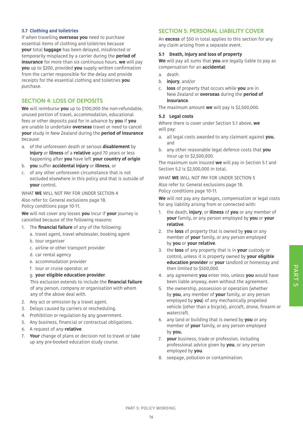#### **3.7 Clothing and toiletries**

If when travelling **overseas you** need to purchase essential items of clothing and toiletries because **your** total **luggage** has been delayed, misdirected or temporarily misplaced by a carrier during the **period of insurance** for more than six continuous hours, **we** will pay **you** up to \$200, provided **you** supply written confirmation from the carrier responsible for the delay and provide receipts for the essential clothing and toiletries **you** purchase.

#### SECTION 4: LOSS OF DEPOSITS

**We** will reimburse **you** up to \$100,000 the non-refundable, unused portion of travel, accommodation, educational fees or other deposits paid for in advance by **you** if **you** are unable to undertake **overseas** travel or need to cancel **your** study in New Zealand during the **period of insurance** because:

- a. of the unforeseen death or serious **disablement** by **injury** or **illness** of a **relative** aged 70 years or less happening after **you** have left **your country of origin**
- b. **you** suffer **accidental injury** or **illness**, or
- c. of any other unforeseen circumstance that is not excluded elsewhere in this policy and that is outside of **your** control.

#### WHAT **WE** WILL NOT PAY FOR UNDER SECTION 4 Also refer to: General exclusions page 18. Policy conditions page 10-11.

**We** will not cover any losses **you** incur if **your** journey is cancelled because of the following reasons:

- 1. The **financial failure** of any of the following:
	- a. travel agent, travel wholesaler, booking agent
	- b. tour organiser
	- c. airline or other transport provider
	- d. car rental agency
	- e. accommodation provider
	- f. tour or cruise operator, or

#### g. **your eligible education provider**.

This exclusion extends to include the **financial failure**  of any person, company or organisation with whom any of the above deal with.

- 2. Any act or omission by a travel agent.
- 3. Delays caused by carriers or rescheduling.
- 4. Prohibition or regulation by any government.
- 5. Any business, financial or contractual obligations.
- 6. A request of any **relative**.
- 7. **Your** change of plans or decision not to travel or take up any pre-booked education study course.

#### SECTION 5: PERSONAL LIABILITY COVER

An **excess** of \$50 in total applies to this section for any any claim arising from a separate event.

#### **5.1 Death, injury and loss of property**

**We** will pay all sums that **you** are legally liable to pay as compensation for an **accidental**:

- a. death
- b. **injury**, and/or
- c. **loss** of property that occurs while **you** are in New Zealand or **overseas** during the **period of insurance**.

The maximum amount **we** will pay is \$2,500,000.

#### **5.2 Legal costs**

Where there is cover under Section 5.1 above, **we** will pay:

- a. all legal costs awarded to any claimant against **you**, and
- b. any other reasonable legal defence costs that **you** incur up to \$2,500,000.

The maximum sum insured **we** will pay in Section 5.1 and Section 5.2 is \$2,500,000 in total.

WHAT **WE** WILL NOT PAY FOR UNDER SECTION 5

Also refer to: General exclusions page 18. Policy conditions page 10-11.

**We** will not pay any damages, compensation or legal costs for any liability arising from or connected with:

- 1. the death, **injury**, or **illness** of **you** or any member of **your** family, or any person employed by **you** or **your relative**.
- 2. the **loss** of property that is owned by **you** or any member of **your** family, or any person employed by **you** or **your relative**.
- 3. the **loss** of any property that is in **your** custody or control, unless it is property owned by **your eligible education provider** or **your** landlord or homestay and then limited to \$500,000.
- 4. any agreement **you** enter into, unless **you** would have been liable anyway, even without the agreement.
- 5. the ownership, possession or operation (whether by **you**, any member of **your** family, or any person employed by **you**) of any mechanically propelled vehicle (other than a bicycle), aircraft, drone, firearm or watercraft.
- 6. any land or building that is owned by **you** or any member of **your** family, or any person employed by **you.**
- 7. **your** business, trade or profession, including professional advice given by **you**, or any person employed by **you**.
- 8. seepage, pollution or contamination.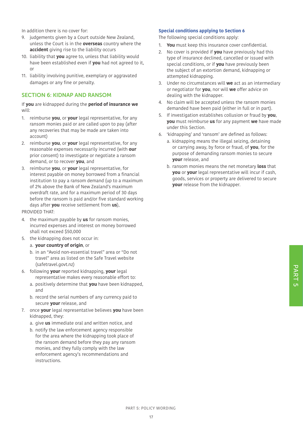In addition there is no cover for:

- 9. judgements given by a Court outside New Zealand, unless the Court is in the **overseas** country where the **accident** giving rise to the liability occurs
- 10. liability that **you** agree to, unless that liability would have been established even if **you** had not agreed to it, or
- 11. liability involving punitive, exemplary or aggravated damages or any fine or penalty.

#### SECTION 6: KIDNAP AND RANSOM

If **you** are kidnapped during the **period of insurance we** will:

- 1. reimburse **you**, or **your** legal representative, for any ransom monies paid or are called upon to pay (after any recoveries that may be made are taken into account)
- 2. reimburse **you**, or **your** legal representative, for any reasonable expenses necessarily incurred (with **our** prior consent) to investigate or negotiate a ransom demand, or to recover **you**, and
- 3. reimburse **you**, or **your** legal representative, for interest payable on money borrowed from a financial institution to pay a ransom demand (up to a maximum of 2% above the Bank of New Zealand's maximum overdraft rate, and for a maximum period of 30 days before the ransom is paid and/or five standard working days after **you** receive settlement from **us**),

PROVIDED THAT:

- 4. the maximum payable by **us** for ransom monies, incurred expenses and interest on money borrowed shall not exceed \$50,000
- 5. the kidnapping does not occur in:
	- a. **your country of origin**, or
	- b. in an "Avoid non-essential travel" area or "Do not travel" area as listed on the Safe Travel website (safetravel.govt.nz)
- 6. following **your** reported kidnapping, **your** legal representative makes every reasonable effort to:
	- a. positively determine that **you** have been kidnapped, and
	- b. record the serial numbers of any currency paid to secure **your** release, and
- 7. once **your** legal representative believes **you** have been kidnapped, they:
	- a. give **us** immediate oral and written notice, and
	- b. notify the law enforcement agency responsible for the area where the kidnapping took place of the ransom demand before they pay any ransom monies, and they fully comply with the law enforcement agency's recommendations and instructions.

#### **Special conditions applying to Section 6**

The following special conditions apply:

- 1. **You** must keep this insurance cover confidential.
- 2. No cover is provided if **you** have previously had this type of insurance declined, cancelled or issued with special conditions, or if **you** have previously been the subject of an extortion demand, kidnapping or attempted kidnapping.
- 3. Under no circumstances will **we** act as an intermediary or negotiator for **you**, nor will **we** offer advice on dealing with the kidnapper.
- 4. No claim will be accepted unless the ransom monies demanded have been paid (either in full or in part).
- 5. If investigation establishes collusion or fraud by **you**, **you** must reimburse **us** for any payment **we** have made under this Section.
- 6. 'kidnapping' and 'ransom' are defined as follows:
	- a. kidnapping means the illegal seizing, detaining or carrying away, by force or fraud, of **you**, for the purpose of demanding ransom monies to secure **your** release, and
	- b. ransom monies means the net monetary **loss** that **you** or **your** legal representative will incur if cash, goods, services or property are delivered to secure **your** release from the kidnapper.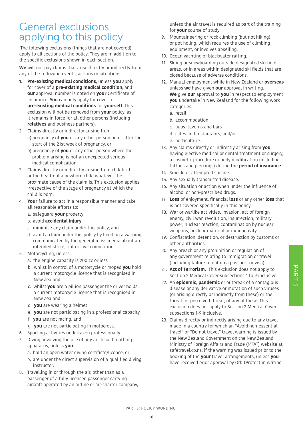## General exclusions applying to this policy

 The following exclusions (things that are not covered) apply to all sections of the policy. They are in addition to the specific exclusions shown in each section.

**We** will not pay claims that arise directly or indirectly from any of the following events, actions or situations:

- 1. **Pre-existing medical conditions**, unless **you** apply for cover of a **pre-existing medical condition**, and **our** approval number is noted on **your** Certificate of Insurance. **You** can only apply for cover for **pre-existing medical conditions** for **yourself**. This exclusion will not be removed from **your** policy, as it remains in force for all other persons (including **relatives** and business partners).
- 2. Claims directly or indirectly arising from: a) pregnancy of **you** or any other person on or after the start of the 21st week of pregnancy, or
	- b) pregnancy of **you** or any other person where the problem arising is not an unexpected serious medical complication.
- 3. Claims directly or indirectly arising from childbirth or the health of a newborn child whatever the proximate cause of the claim is. This exclusion applies irrespective of the stage of pregnancy at which the child is born.
- 4. **Your** failure to act in a responsible manner and take all reasonable efforts to:
	- a. safeguard **your** property
	- b. avoid **accidental injury**
	- c. minimise any claim under this policy, and
	- d. avoid a claim under this policy by heeding a warning communicated by the general mass media about an intended strike, riot or civil commotion.
- 5. Motorcycling, unless:
	- a. the engine capacity is 200 cc or less
	- b. whilst in control of a motorcycle or moped **you** hold a current motorcycle licence that is recognised in New Zealand
	- c. whilst **you** are a pillion passenger the driver holds a current motorcycle licence that is recognised in New Zealand
	- d. **you** are wearing a helmet
	- e. **you** are not participating in a professional capacity
	- f. **you** are not racing, and
	- g. **you** are not participating in motocross.
- 6. Sporting activities undertaken professionally.
- 7. Diving, involving the use of any artificial breathing apparatus, unless **you**:
	- a. hold an open water diving certificte/licence, or
	- b. are under the direct supervision of a qualified diving instructor.
- 8. Travelling in or through the air, other than as a passenger of a fully licensed passenger carrying aircraft operated by an airline or air-charter company,

unless the air travel is required as part of the training for **your** course of study.

- 9. Mountaineering or rock climbing (but not hiking), or pot holing, which requires the use of climbing equipment, or involves abseiling.
- 10. Ocean yachting or blackwater rafting.
- 11. Skiing or snowboarding outside designated ski field areas, or in areas within designated ski fields that are closed because of adverse conditions.
- 12. Manual employment while in New Zealand or **overseas** unless **we** have given **our** approval in writing. **We** give **our** approval to **you** in respect to employment **you** undertake in New Zealand for the following work categories:
	- a. retail
	- b. accommodation
	- c. pubs, taverns and bars
	- d. cafes and restaurants, and/or
	- e. horticulture.
- 13. Any claims directly or indirectly arising from **you** having elective medical or dental treatment or surgery, a cosmetic procedure or body modification (including tattoos and piercings) during the **period of insurance**.
- 14. Suicide or attempted suicide.
- 15. Any sexually transmitted disease.
- 16. Any situation or action when under the influence of alcohol or non-prescribed drugs.
- 17. **Loss** of enjoyment, financial **loss** or any other **loss** that is not covered specifically in this policy.
- 18. War or warlike activities, invasion, act of foreign enemy, civil war, revolution, insurrection, military power; nuclear reaction, contamination by nuclear weapons, nuclear material or radioactivity.
- 19. Confiscation, detention, or destruction by customs or other authorities.
- 20. Any breach or any prohibition or regulation of any government relating to immigration or travel (including failure to obtain a passport or visa).
- 21. **Act of Terrorism.** This exclusion does not apply to Section 2 Medical Cover subsections 1 to 9 inclusive.
- 22. An **epidemic**, **pandemic** or outbreak of a contagious disease or any derivative or mutation of such viruses (or arising directly or indirectly from these) or the threat, or perceived threat, of any of these. This exclusion does not apply to Section 2 Medical Cover, subsections 1-9 inclusive.
- 23. Claims directly or indirectly arising due to any travel made in a country for which an "Avoid non-essential travel" or "Do not travel" travel warning is issued by the New Zealand Government on the New Zealand Ministry of Foreign Affairs and Trade (MFAT) website at safetravel.co.nz, if the warning was issued prior to the booking of the **your** travel arrangements, unless **you** have received prior approval by OrbitProtect in writing.